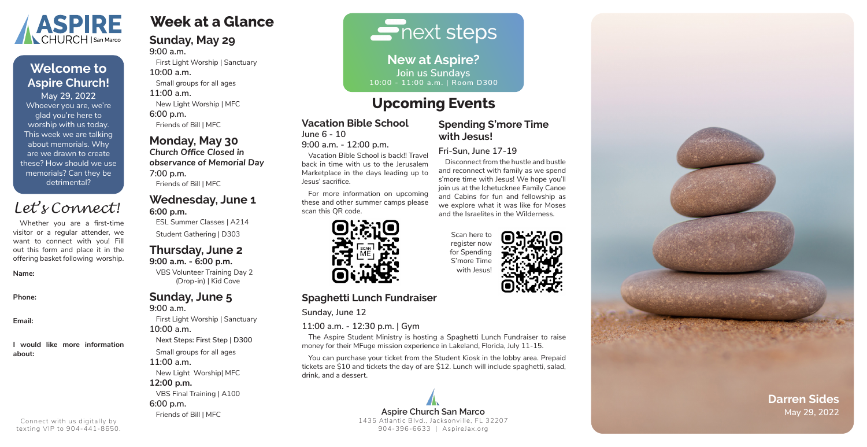# **Week at a Glance**

#### **Sunday, May 29 9:00 a.m.**

First Light Worship | Sanctuary **10:00 a.m.** Small groups for all ages **11:00 a.m.**

New Light Worship | MFC **6:00 p.m.**

Friends of Bill | MFC

### **Monday, May 30**

*Church Office Closed in observance of Memorial Day* **7:00 p.m.**

Friends of Bill | MFC

### **Wednesday, June 1 6:00 p.m.**

ESL Summer Classes | A214 Student Gathering | D303

#### **Thursday, June 2 9:00 a.m. - 6:00 p.m.**

VBS Volunteer Training Day 2 (Drop-in) | Kid Cove

## **Sunday, June 5**

**9:00 a.m.** First Light Worship | Sanctuary **10:00 a.m. Next Steps: First Step | D300** Small groups for all ages **11:00 a.m.** New Light Worship| MFC **12:00 p.m.**  VBS Final Training | A100 **6:00 p.m.**

Friends of Bill | MFC

 $\overline{\blacksquare}$  next steps

#### **Vacation Bible School June 6 - 10**

**9:00 a.m. - 12:00 p.m.**

Vacation Bible School is back!! Travel back in time with us to the Jerusalem Marketplace in the days leading up to Jesus' sacrifice.

For more information on upcoming these and other summer camps please scan this QR code.



### **Spending S'more Time with Jesus!**

### **Fri-Sun, June 17-19**

**Aspire Church San Marco May 29, 2022** 1435 Atlantic Blvd., Jacksonville, FL 32207 904-396-6633 | AspireJax.org

Disconnect from the hustle and bustle and reconnect with family as we spend s'more time with Jesus! We hope you'll join us at the Ichetucknee Family Canoe and Cabins for fun and fellowship as we explore what it was like for Moses and the Israelites in the Wilderness.

### **Spaghetti Lunch Fundraiser**

**Sunday, June 12**

### **11:00 a.m. - 12:30 p.m. | Gym**

The Aspire Student Ministry is hosting a Spaghetti Lunch Fundraiser to raise money for their MFuge mission experience in Lakeland, Florida, July 11-15.

You can purchase your ticket from the Student Kiosk in the lobby area. Prepaid tickets are \$10 and tickets the day of are \$12. Lunch will include spaghetti, salad, drink, and a dessert.

**New at Aspire? Join us Sundays 10:00 - 11:00 a.m. | Room D300**

Whoever you are, we're glad you're here to worship with us today. This week we are talking about memorials. Why are we drawn to create these? How should we use memorials? Can they be detrimental? **May 29, 2022**



# **Welcome to Aspire Church!**



Whether you are a first-time visitor or a regular attender, we want to connect with you! Fill out this form and place it in the offering basket following worship.

#### **Name:**

**Phone:**

**Email:**

**I would like more information about:**

# *Let's Connect!*

Connect with us digitally by texting VIP to 904-441-8650.

# **Upcoming Events**

Scan here to register now for Spending S'more Time with Jesus!